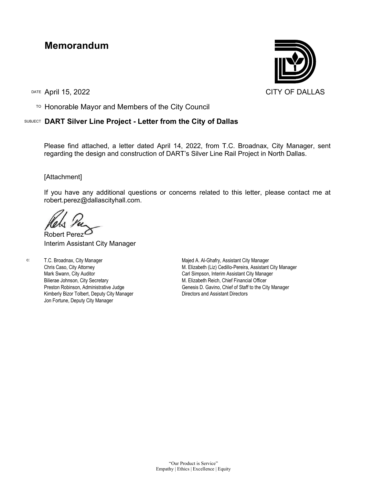## **Memorandum**

TO Honorable Mayor and Members of the City Council

## SUBJECT **DART Silver Line Project - Letter from the City of Dallas**

Please find attached, a letter dated April 14, 2022, from T.C. Broadnax, City Manager, sent regarding the design and construction of DART's Silver Line Rail Project in North Dallas.

## [Attachment]

If you have any additional questions or concerns related to this letter, please contact me at robert.perez@dallascityhall.com.

Robert Perez Interim Assistant City Manager

c: T.C. Broadnax, City Manager Chris Caso, City Attorney Mark Swann, City Auditor Bilierae Johnson, City Secretary Preston Robinson, Administrative Judge Kimberly Bizor Tolbert, Deputy City Manager Jon Fortune, Deputy City Manager

Majed A. Al-Ghafry, Assistant City Manager M. Elizabeth (Liz) Cedillo-Pereira, Assistant City Manager Carl Simpson, Interim Assistant City Manager M. Elizabeth Reich, Chief Financial Officer Genesis D. Gavino, Chief of Staff to the City Manager Directors and Assistant Directors

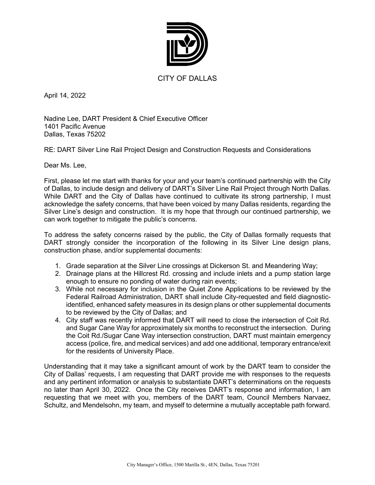

April 14, 2022

Nadine Lee, DART President & Chief Executive Officer 1401 Pacific Avenue Dallas, Texas 75202

RE: DART Silver Line Rail Project Design and Construction Requests and Considerations

Dear Ms. Lee,

First, please let me start with thanks for your and your team's continued partnership with the City of Dallas, to include design and delivery of DART's Silver Line Rail Project through North Dallas. While DART and the City of Dallas have continued to cultivate its strong partnership, I must acknowledge the safety concerns, that have been voiced by many Dallas residents, regarding the Silver Line's design and construction. It is my hope that through our continued partnership, we can work together to mitigate the public's concerns.

To address the safety concerns raised by the public, the City of Dallas formally requests that DART strongly consider the incorporation of the following in its Silver Line design plans, construction phase, and/or supplemental documents:

- 1. Grade separation at the Silver Line crossings at Dickerson St. and Meandering Way;
- 2. Drainage plans at the Hillcrest Rd. crossing and include inlets and a pump station large enough to ensure no ponding of water during rain events;
- 3. While not necessary for inclusion in the Quiet Zone Applications to be reviewed by the Federal Railroad Administration, DART shall include City-requested and field diagnosticidentified, enhanced safety measures in its design plans or other supplemental documents to be reviewed by the City of Dallas; and
- 4. City staff was recently informed that DART will need to close the intersection of Coit Rd. and Sugar Cane Way for approximately six months to reconstruct the intersection. During the Coit Rd./Sugar Cane Way intersection construction, DART must maintain emergency access (police, fire, and medical services) and add one additional, temporary entrance/exit for the residents of University Place.

Understanding that it may take a significant amount of work by the DART team to consider the City of Dallas' requests, I am requesting that DART provide me with responses to the requests and any pertinent information or analysis to substantiate DART's determinations on the requests no later than April 30, 2022. Once the City receives DART's response and information, I am requesting that we meet with you, members of the DART team, Council Members Narvaez, Schultz, and Mendelsohn, my team, and myself to determine a mutually acceptable path forward.